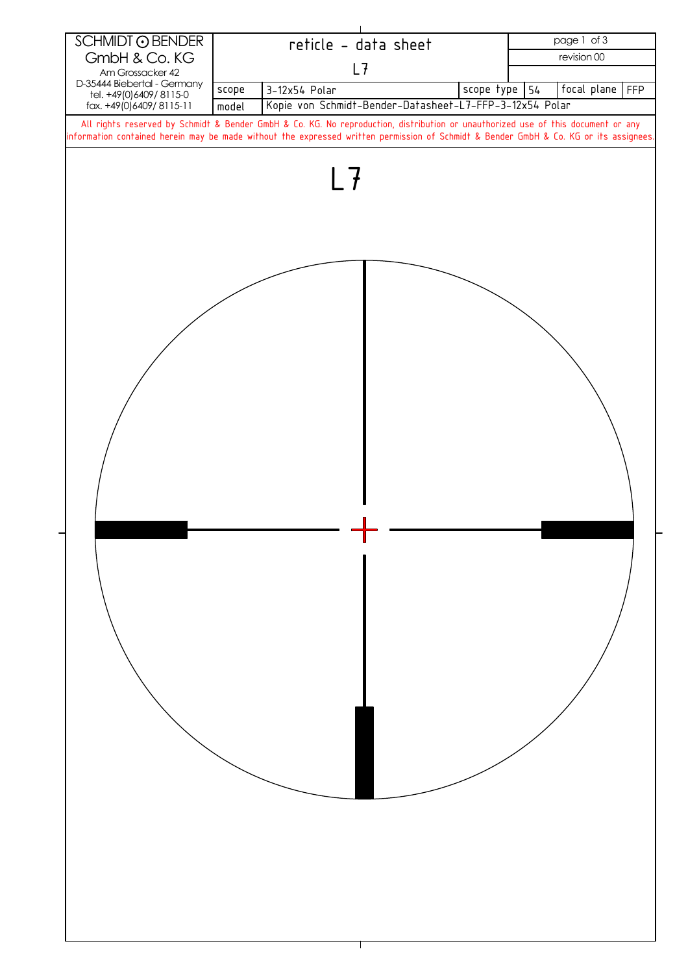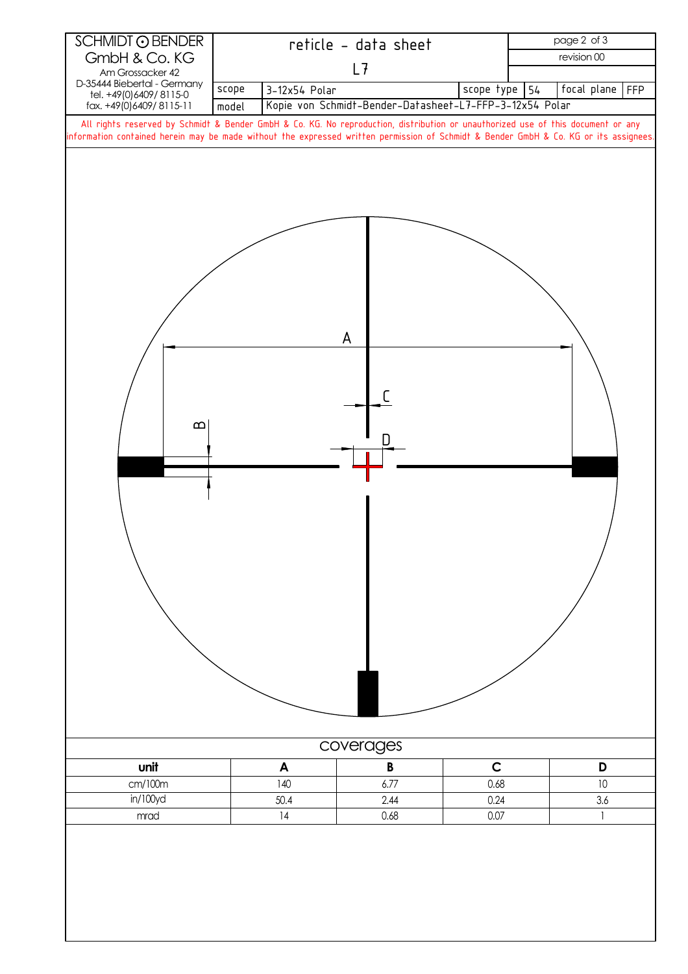